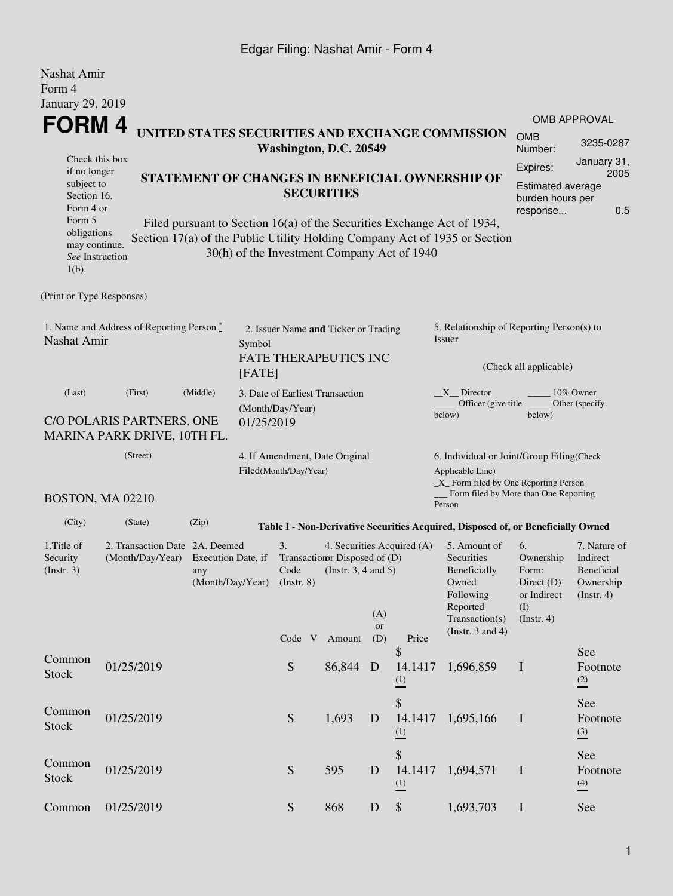### Edgar Filing: Nashat Amir - Form 4

| Nashat Amir<br>Form 4<br>January 29, 2019                                                                                                                                                                                                                                                                                                                                                                                                                   |                                                                       |       |                  |                                                                                                                                                                                                                                                                |  |                                                                      |           |                                                                                             |                                                                                                                                                    |                                                                                |                                    |  |  |
|-------------------------------------------------------------------------------------------------------------------------------------------------------------------------------------------------------------------------------------------------------------------------------------------------------------------------------------------------------------------------------------------------------------------------------------------------------------|-----------------------------------------------------------------------|-------|------------------|----------------------------------------------------------------------------------------------------------------------------------------------------------------------------------------------------------------------------------------------------------------|--|----------------------------------------------------------------------|-----------|---------------------------------------------------------------------------------------------|----------------------------------------------------------------------------------------------------------------------------------------------------|--------------------------------------------------------------------------------|------------------------------------|--|--|
| FORM 4                                                                                                                                                                                                                                                                                                                                                                                                                                                      |                                                                       |       |                  |                                                                                                                                                                                                                                                                |  |                                                                      |           | <b>OMB APPROVAL</b>                                                                         |                                                                                                                                                    |                                                                                |                                    |  |  |
| UNITED STATES SECURITIES AND EXCHANGE COMMISSION                                                                                                                                                                                                                                                                                                                                                                                                            |                                                                       |       |                  |                                                                                                                                                                                                                                                                |  |                                                                      |           |                                                                                             |                                                                                                                                                    | <b>OMB</b><br>Number:                                                          | 3235-0287                          |  |  |
| Washington, D.C. 20549<br>Check this box<br>if no longer<br>STATEMENT OF CHANGES IN BENEFICIAL OWNERSHIP OF<br>subject to<br><b>SECURITIES</b><br>Section 16.<br>Form 4 or<br>Form 5<br>Filed pursuant to Section 16(a) of the Securities Exchange Act of 1934,<br>obligations<br>Section 17(a) of the Public Utility Holding Company Act of 1935 or Section<br>may continue.<br>30(h) of the Investment Company Act of 1940<br>See Instruction<br>$1(b)$ . |                                                                       |       |                  |                                                                                                                                                                                                                                                                |  |                                                                      |           | January 31,<br>Expires:<br>2005<br>Estimated average<br>burden hours per<br>0.5<br>response |                                                                                                                                                    |                                                                                |                                    |  |  |
| (Print or Type Responses)                                                                                                                                                                                                                                                                                                                                                                                                                                   |                                                                       |       |                  |                                                                                                                                                                                                                                                                |  |                                                                      |           |                                                                                             |                                                                                                                                                    |                                                                                |                                    |  |  |
| Nashat Amir                                                                                                                                                                                                                                                                                                                                                                                                                                                 | 1. Name and Address of Reporting Person $\stackrel{*}{\mathbb{L}}$    |       | Symbol<br>[FATE] |                                                                                                                                                                                                                                                                |  | 2. Issuer Name and Ticker or Trading<br><b>FATE THERAPEUTICS INC</b> |           |                                                                                             | 5. Relationship of Reporting Person(s) to<br>Issuer                                                                                                | (Check all applicable)                                                         |                                    |  |  |
| (Last)<br>(First)<br>(Middle)<br>C/O POLARIS PARTNERS, ONE<br>MARINA PARK DRIVE, 10TH FL.                                                                                                                                                                                                                                                                                                                                                                   |                                                                       |       |                  | 3. Date of Earliest Transaction<br>(Month/Day/Year)<br>01/25/2019                                                                                                                                                                                              |  |                                                                      |           |                                                                                             | $X$ Director<br>10% Owner<br>Other (specify<br>Officer (give title<br>below)<br>below)                                                             |                                                                                |                                    |  |  |
|                                                                                                                                                                                                                                                                                                                                                                                                                                                             | (Street)<br>BOSTON, MA 02210                                          |       |                  | Filed(Month/Day/Year)                                                                                                                                                                                                                                          |  | 4. If Amendment, Date Original                                       |           |                                                                                             | 6. Individual or Joint/Group Filing(Check<br>Applicable Line)<br>$\_X$ Form filed by One Reporting Person<br>Form filed by More than One Reporting |                                                                                |                                    |  |  |
| (City)                                                                                                                                                                                                                                                                                                                                                                                                                                                      | (State)                                                               | (Zip) |                  |                                                                                                                                                                                                                                                                |  |                                                                      |           |                                                                                             | Person                                                                                                                                             |                                                                                |                                    |  |  |
| 1. Title of<br>Security<br>$($ Instr. 3 $)$                                                                                                                                                                                                                                                                                                                                                                                                                 | 2. Transaction Date 2A. Deemed<br>(Month/Day/Year) Execution Date, if | any   |                  | Table I - Non-Derivative Securities Acquired, Disposed of, or Beneficially Owned<br>3.<br>4. Securities Acquired (A)<br>Transaction Disposed of (D)<br>Code<br>(Instr. $3, 4$ and $5$ )<br>(Month/Day/Year) (Instr. 8)<br>(A)<br>or<br>(D)<br>Code V<br>Amount |  |                                                                      |           | Price                                                                                       | 5. Amount of<br>Securities<br>Beneficially<br>Owned<br>Following<br>Reported<br>Transaction(s)<br>(Instr. $3$ and $4$ )                            | 7. Nature of<br>Indirect<br><b>Beneficial</b><br>Ownership<br>$($ Instr. 4 $)$ |                                    |  |  |
| Common<br><b>Stock</b>                                                                                                                                                                                                                                                                                                                                                                                                                                      | 01/25/2019                                                            |       |                  | S                                                                                                                                                                                                                                                              |  | 86,844                                                               | D         | \$<br>14.1417<br>$\frac{(1)}{2}$                                                            | 1,696,859                                                                                                                                          | I                                                                              | See<br>Footnote<br>(2)             |  |  |
| Common<br><b>Stock</b>                                                                                                                                                                                                                                                                                                                                                                                                                                      | 01/25/2019                                                            |       |                  | S                                                                                                                                                                                                                                                              |  | 1,693                                                                | D         | \$<br>14.1417<br>$\frac{(1)}{2}$                                                            | 1,695,166                                                                                                                                          | $\mathbf I$                                                                    | See<br>Footnote<br>$\overline{2}$  |  |  |
| Common<br>Stock                                                                                                                                                                                                                                                                                                                                                                                                                                             | 01/25/2019                                                            |       |                  | ${\mathbf S}$                                                                                                                                                                                                                                                  |  | 595                                                                  | D         | \$<br>14.1417<br>$\frac{(1)}{2}$                                                            | 1,694,571                                                                                                                                          | $\mathbf I$                                                                    | See<br>Footnote<br>$\frac{(4)}{6}$ |  |  |
| Common                                                                                                                                                                                                                                                                                                                                                                                                                                                      | 01/25/2019                                                            |       |                  | ${\mathbf S}$                                                                                                                                                                                                                                                  |  | 868                                                                  | ${\bf D}$ | $\boldsymbol{\mathsf{S}}$                                                                   | 1,693,703                                                                                                                                          | $\mathbf I$                                                                    | See                                |  |  |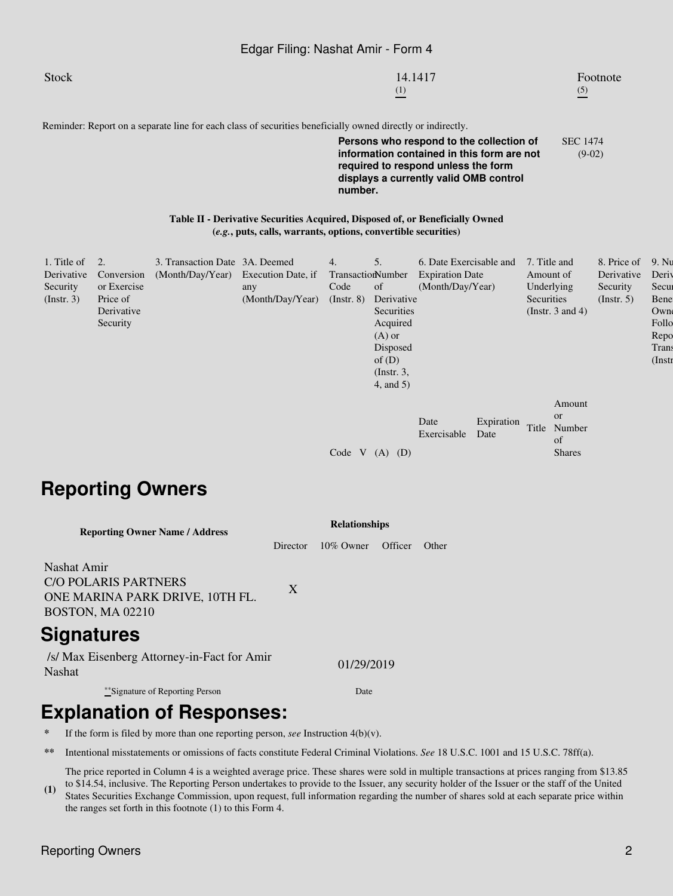#### Edgar Filing: Nashat Amir - Form 4

| Stock | 14.1417 | Footnote |
|-------|---------|----------|
|       | (1)     | (5)      |
|       |         |          |

Reminder: Report on a separate line for each class of securities beneficially owned directly or indirectly.

**Persons who respond to the collection of information contained in this form are not required to respond unless the form displays a currently valid OMB control number.** SEC 1474 (9-02)

**Table II - Derivative Securities Acquired, Disposed of, or Beneficially Owned (***e.g.***, puts, calls, warrants, options, convertible securities)**

| 1. Title of<br>Derivative<br>Security<br>(Insert. 3) | 2.<br>Conversion<br>or Exercise<br>Price of<br>Derivative<br>Security | 3. Transaction Date 3A. Deemed<br>(Month/Day/Year) Execution Date, if | any<br>(Month/Day/Year) | 4.<br>TransactionNumber<br>Code<br>$($ Instr. $8)$ | 5.<br>of<br>Derivative<br>Securities<br>Acquired<br>$(A)$ or<br>Disposed<br>of $(D)$ | 6. Date Exercisable and<br><b>Expiration Date</b><br>(Month/Day/Year) |                    | 7. Title and<br>Amount of<br>Underlying<br>Securities<br>(Instr. $3$ and $4$ ) |                                   | 8. Price of<br>Derivative<br>Security<br>$($ Instr. 5 $)$ | 9. Nu<br>Deriy<br>Secur<br>Bene<br>Own<br>Follo<br>Repo<br>Trans<br>$($ Instr |
|------------------------------------------------------|-----------------------------------------------------------------------|-----------------------------------------------------------------------|-------------------------|----------------------------------------------------|--------------------------------------------------------------------------------------|-----------------------------------------------------------------------|--------------------|--------------------------------------------------------------------------------|-----------------------------------|-----------------------------------------------------------|-------------------------------------------------------------------------------|
|                                                      |                                                                       |                                                                       |                         | Code V                                             | $($ Instr. 3,<br>$4$ , and $5$ )<br>$(A)$ $(D)$                                      | Date<br>Exercisable                                                   | Expiration<br>Date | <b>or</b><br>Title<br>of                                                       | Amount<br>Number<br><b>Shares</b> |                                                           |                                                                               |

# **Reporting Owners**

| <b>Reporting Owner Name / Address</b>                                                            | <b>Relationships</b> |              |         |       |  |  |  |
|--------------------------------------------------------------------------------------------------|----------------------|--------------|---------|-------|--|--|--|
|                                                                                                  | Director             | $10\%$ Owner | Officer | Other |  |  |  |
| Nashat Amir<br>CO POLARIS PARTNERS<br>ONE MARINA PARK DRIVE, 10TH FL.<br><b>BOSTON, MA 02210</b> | X                    |              |         |       |  |  |  |
| <b>Signatures</b>                                                                                |                      |              |         |       |  |  |  |
| /s/ Max Eisenberg Attorney-in-Fact for Amir<br><b>Nashat</b>                                     | 01/29/2019           |              |         |       |  |  |  |
| ***Signature of Reporting Person                                                                 |                      | Date         |         |       |  |  |  |
|                                                                                                  |                      |              |         |       |  |  |  |

# **Explanation of Responses:**

the ranges set forth in this footnote (1) to this Form 4.

- **\*** If the form is filed by more than one reporting person, *see* Instruction 4(b)(v).
- **\*\*** Intentional misstatements or omissions of facts constitute Federal Criminal Violations. *See* 18 U.S.C. 1001 and 15 U.S.C. 78ff(a).

**(1)** The price reported in Column 4 is a weighted average price. These shares were sold in multiple transactions at prices ranging from \$13.85 to \$14.54, inclusive. The Reporting Person undertakes to provide to the Issuer, any security holder of the Issuer or the staff of the United States Securities Exchange Commission, upon request, full information regarding the number of shares sold at each separate price within

Reporting Owners 2